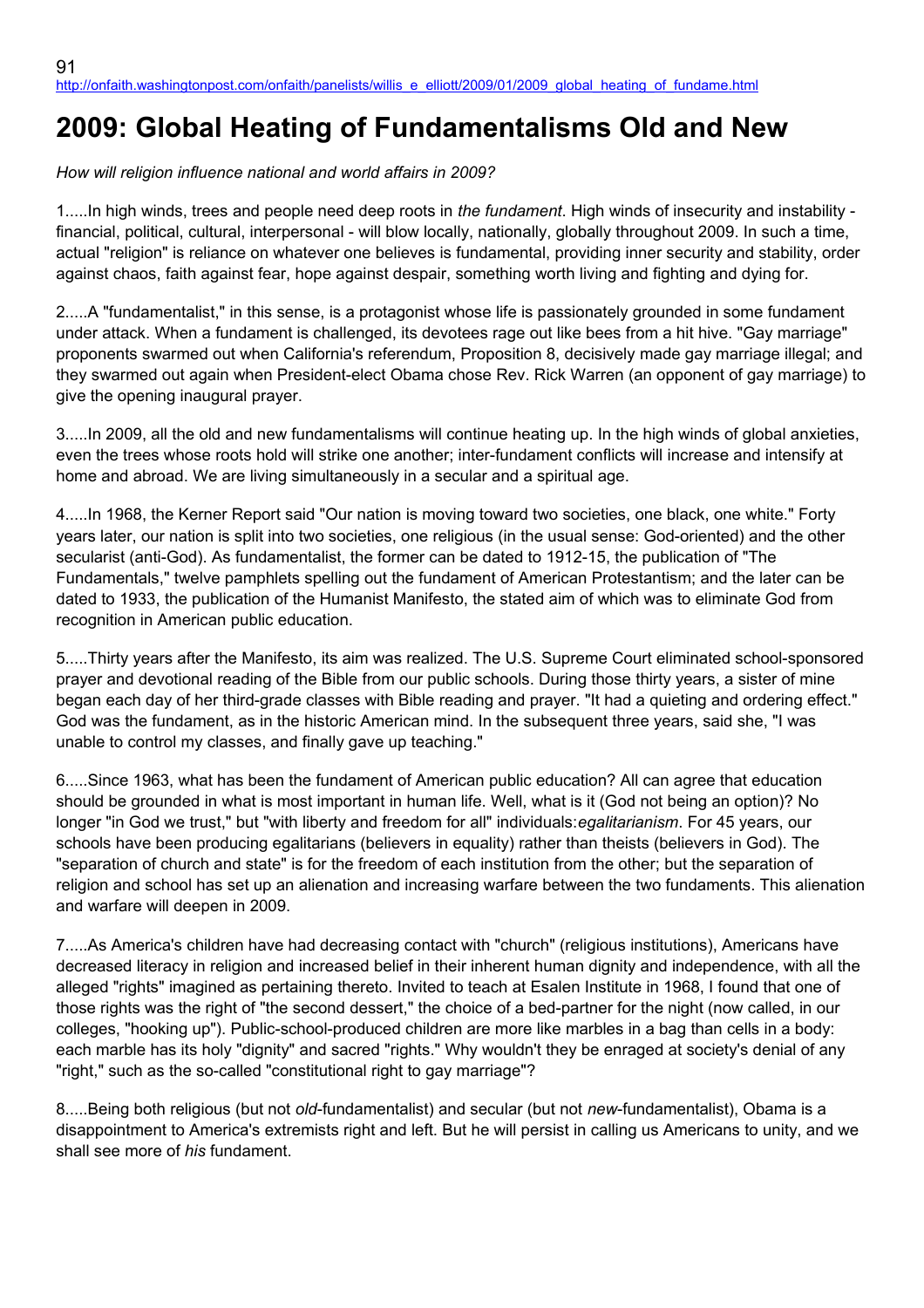## **2009: Global Heating of Fundamentalisms Old and New**

*How will religion influence national and world affairs in 2009?*

1.....In high winds, trees and people need deep roots in *the fundament*. High winds of insecurity and instability financial, political, cultural, interpersonal - will blow locally, nationally, globally throughout 2009. In such a time, actual "religion" is reliance on whatever one believes is fundamental, providing inner security and stability, order against chaos, faith against fear, hope against despair, something worth living and fighting and dying for.

2.....A "fundamentalist," in this sense, is a protagonist whose life is passionately grounded in some fundament under attack. When a fundament is challenged, its devotees rage out like bees from a hit hive. "Gay marriage" proponents swarmed out when California's referendum, Proposition 8, decisively made gay marriage illegal; and they swarmed out again when President-elect Obama chose Rev. Rick Warren (an opponent of gay marriage) to give the opening inaugural prayer.

3.....In 2009, all the old and new fundamentalisms will continue heating up. In the high winds of global anxieties, even the trees whose roots hold will strike one another; inter-fundament conflicts will increase and intensify at home and abroad. We are living simultaneously in a secular and a spiritual age.

4.....In 1968, the Kerner Report said "Our nation is moving toward two societies, one black, one white." Forty years later, our nation is split into two societies, one religious (in the usual sense: God-oriented) and the other secularist (anti-God). As fundamentalist, the former can be dated to 1912-15, the publication of "The Fundamentals," twelve pamphlets spelling out the fundament of American Protestantism; and the later can be dated to 1933, the publication of the Humanist Manifesto, the stated aim of which was to eliminate God from recognition in American public education.

5.....Thirty years after the Manifesto, its aim was realized. The U.S. Supreme Court eliminated school-sponsored prayer and devotional reading of the Bible from our public schools. During those thirty years, a sister of mine began each day of her third-grade classes with Bible reading and prayer. "It had a quieting and ordering effect." God was the fundament, as in the historic American mind. In the subsequent three years, said she, "I was unable to control my classes, and finally gave up teaching."

6.....Since 1963, what has been the fundament of American public education? All can agree that education should be grounded in what is most important in human life. Well, what is it (God not being an option)? No longer "in God we trust," but "with liberty and freedom for all" individuals:*egalitarianism*. For 45 years, our schools have been producing egalitarians (believers in equality) rather than theists (believers in God). The "separation of church and state" is for the freedom of each institution from the other; but the separation of religion and school has set up an alienation and increasing warfare between the two fundaments. This alienation and warfare will deepen in 2009.

7.....As America's children have had decreasing contact with "church" (religious institutions), Americans have decreased literacy in religion and increased belief in their inherent human dignity and independence, with all the alleged "rights" imagined as pertaining thereto. Invited to teach at Esalen Institute in 1968, I found that one of those rights was the right of "the second dessert," the choice of a bed-partner for the night (now called, in our colleges, "hooking up"). Public-school-produced children are more like marbles in a bag than cells in a body: each marble has its holy "dignity" and sacred "rights." Why wouldn't they be enraged at society's denial of any "right," such as the so-called "constitutional right to gay marriage"?

8.....Being both religious (but not *old*-fundamentalist) and secular (but not *new*-fundamentalist), Obama is a disappointment to America's extremists right and left. But he will persist in calling us Americans to unity, and we shall see more of *his* fundament.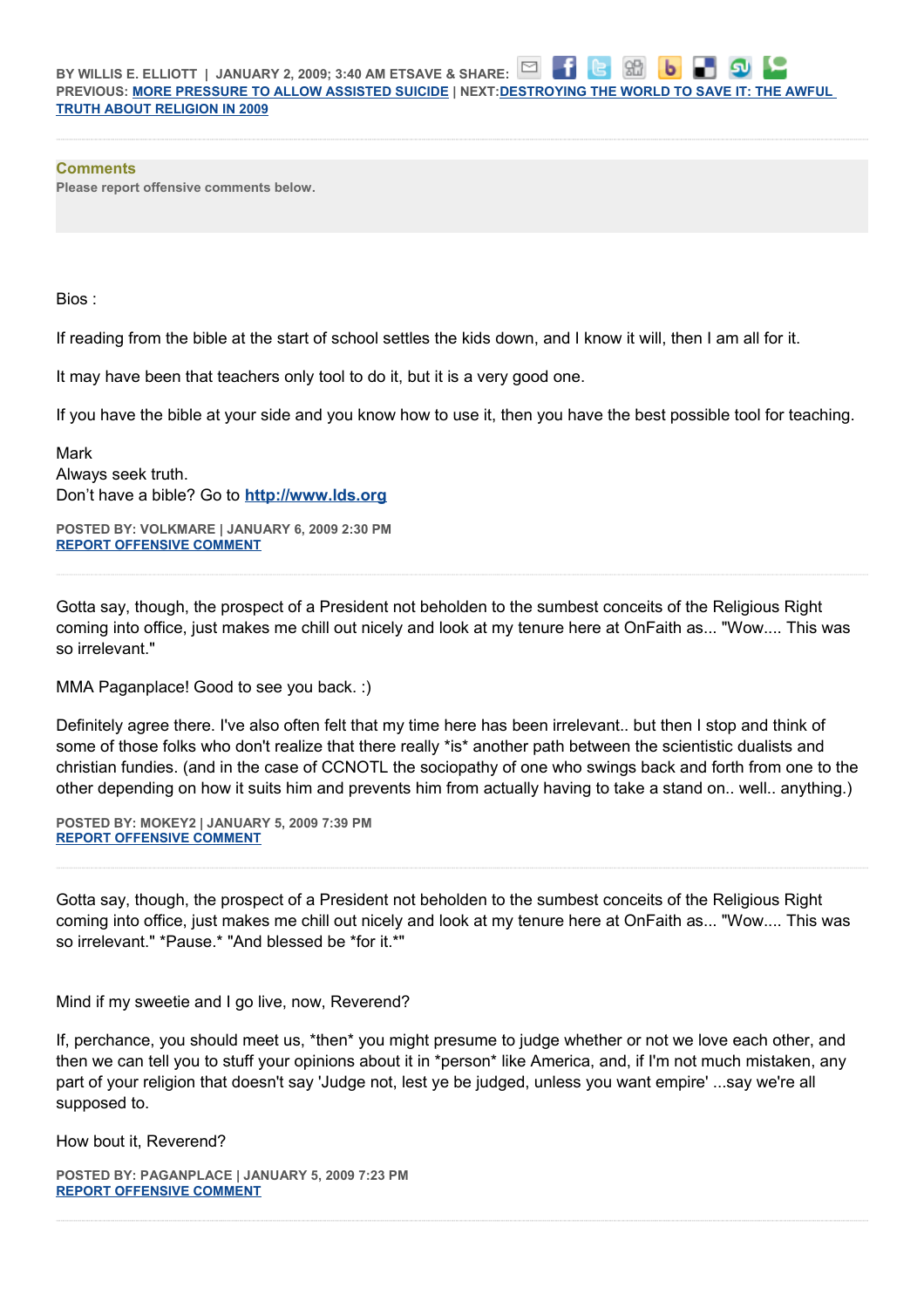⊡ 86 **BY WILLIS E. ELLIOTT | JANUARY 2, 2009; 3:40 AM ETSAVE & SHARE: PREVIOUS: [MORE PRESSURE TO ALLOW ASSISTED SUICIDE](http://onfaith.washingtonpost.com/onfaith/panelists/julia_neuberger/2009/01/first_there_will_be_increasing.html) | NEXT[:DESTROYING THE WORLD TO SAVE IT: THE AWFUL](http://onfaith.washingtonpost.com/onfaith/panelists/susan_brooks_thistlethwaite/2009/01/destroying_the_world_to_save_i.html)  [TRUTH ABOUT RELIGION IN 2009](http://onfaith.washingtonpost.com/onfaith/panelists/susan_brooks_thistlethwaite/2009/01/destroying_the_world_to_save_i.html)**

## **Comments**

**Please report offensive comments below.**

Bios :

If reading from the bible at the start of school settles the kids down, and I know it will, then I am all for it.

It may have been that teachers only tool to do it, but it is a very good one.

If you have the bible at your side and you know how to use it, then you have the best possible tool for teaching.

Mark Always seek truth. Don't have a bible? Go to **[http://www.lds.org](http://www.lds.org/)**

**POSTED BY: VOLKMARE | JANUARY 6, 2009 2:30 PM [REPORT OFFENSIVE COMMENT](mailto:blogs@washingtonpost.com?subject=On%20Faith%20Panelists%20Blog%20%20%7C%20%20volkmare%20%20%7C%20%202009:%20Global%20Heating%20of%20Fundamentalisms%20Old%20and%20New%20%20%7C%20%204581069&body=%0D%0D%0D%0D%0D================%0D?__mode=view%26_type=comment%26id=4581069%26blog_id=618)**

Gotta say, though, the prospect of a President not beholden to the sumbest conceits of the Religious Right coming into office, just makes me chill out nicely and look at my tenure here at OnFaith as... "Wow.... This was so irrelevant."

MMA Paganplace! Good to see you back. :)

Definitely agree there. I've also often felt that my time here has been irrelevant.. but then I stop and think of some of those folks who don't realize that there really \*is\* another path between the scientistic dualists and christian fundies. (and in the case of CCNOTL the sociopathy of one who swings back and forth from one to the other depending on how it suits him and prevents him from actually having to take a stand on.. well.. anything.)

**POSTED BY: MOKEY2 | JANUARY 5, 2009 7:39 PM [REPORT OFFENSIVE COMMENT](mailto:blogs@washingtonpost.com?subject=On%20Faith%20Panelists%20Blog%20%20%7C%20%20mokey2%20%20%7C%20%202009:%20Global%20Heating%20of%20Fundamentalisms%20Old%20and%20New%20%20%7C%20%204580643&body=%0D%0D%0D%0D%0D================%0D?__mode=view%26_type=comment%26id=4580643%26blog_id=618)**

Gotta say, though, the prospect of a President not beholden to the sumbest conceits of the Religious Right coming into office, just makes me chill out nicely and look at my tenure here at OnFaith as... "Wow.... This was so irrelevant." \*Pause.\* "And blessed be \*for it.\*"

Mind if my sweetie and I go live, now, Reverend?

If, perchance, you should meet us, \*then\* you might presume to judge whether or not we love each other, and then we can tell you to stuff your opinions about it in \*person\* like America, and, if I'm not much mistaken, any part of your religion that doesn't say 'Judge not, lest ye be judged, unless you want empire' ...say we're all supposed to.

How bout it, Reverend?

**POSTED BY: PAGANPLACE | JANUARY 5, 2009 7:23 PM [REPORT OFFENSIVE COMMENT](mailto:blogs@washingtonpost.com?subject=On%20Faith%20Panelists%20Blog%20%20%7C%20%20Paganplace%20%20%7C%20%202009:%20Global%20Heating%20of%20Fundamentalisms%20Old%20and%20New%20%20%7C%20%204580618&body=%0D%0D%0D%0D%0D================%0D?__mode=view%26_type=comment%26id=4580618%26blog_id=618)**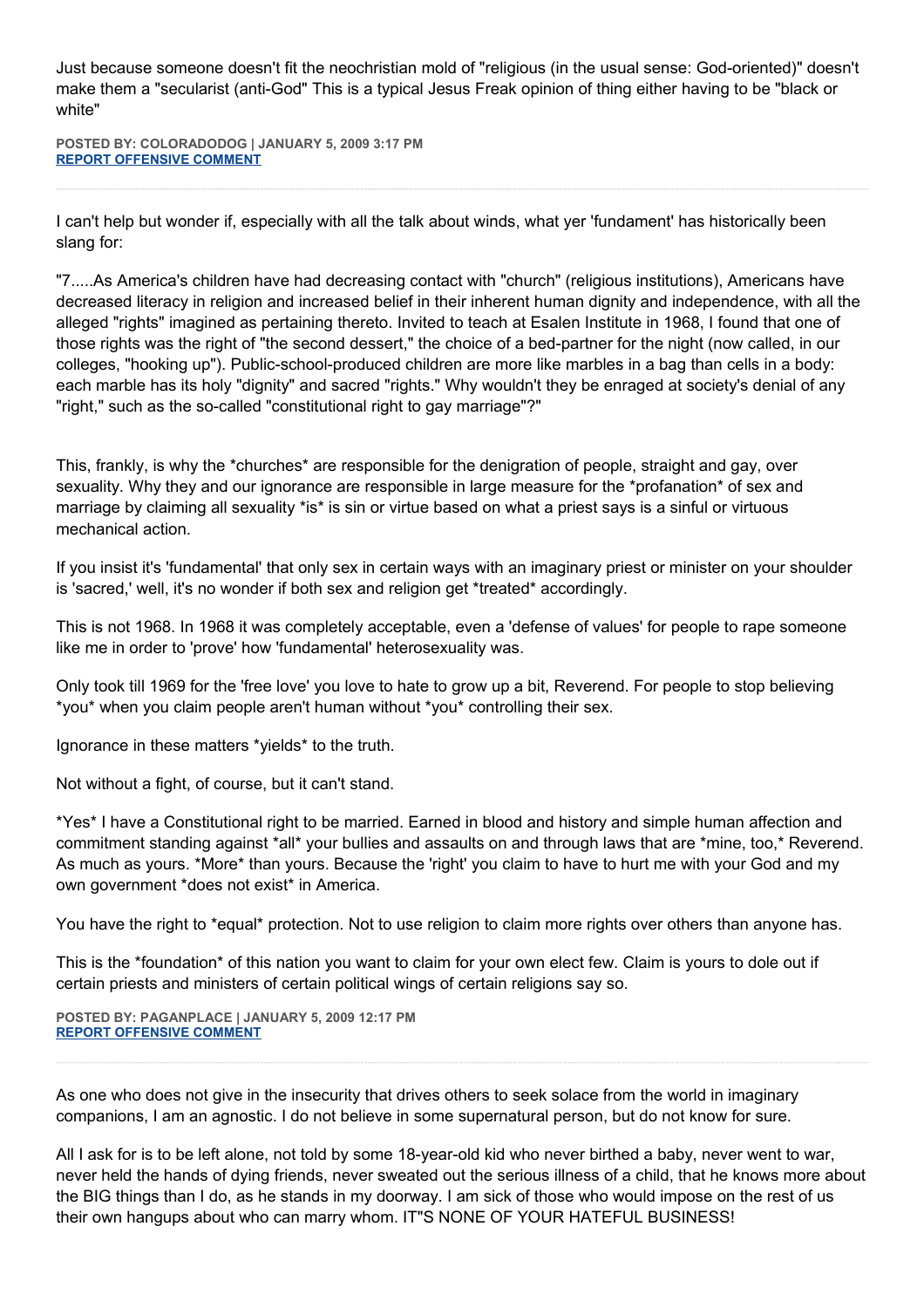Just because someone doesn't fit the neochristian mold of "religious (in the usual sense: God-oriented)" doesn't make them a "secularist (anti-God" This is a typical Jesus Freak opinion of thing either having to be "black or white"

**POSTED BY: COLORADODOG | JANUARY 5, 2009 3:17 PM [REPORT OFFENSIVE COMMENT](mailto:blogs@washingtonpost.com?subject=On%20Faith%20Panelists%20Blog%20%20%7C%20%20coloradodog%20%20%7C%20%202009:%20Global%20Heating%20of%20Fundamentalisms%20Old%20and%20New%20%20%7C%20%204580501&body=%0D%0D%0D%0D%0D================%0D?__mode=view%26_type=comment%26id=4580501%26blog_id=618)**

I can't help but wonder if, especially with all the talk about winds, what yer 'fundament' has historically been slang for:

"7.....As America's children have had decreasing contact with "church" (religious institutions), Americans have decreased literacy in religion and increased belief in their inherent human dignity and independence, with all the alleged "rights" imagined as pertaining thereto. Invited to teach at Esalen Institute in 1968, I found that one of those rights was the right of "the second dessert," the choice of a bed-partner for the night (now called, in our colleges, "hooking up"). Public-school-produced children are more like marbles in a bag than cells in a body: each marble has its holy "dignity" and sacred "rights." Why wouldn't they be enraged at society's denial of any "right," such as the so-called "constitutional right to gay marriage"?"

This, frankly, is why the \*churches\* are responsible for the denigration of people, straight and gay, over sexuality. Why they and our ignorance are responsible in large measure for the \*profanation\* of sex and marriage by claiming all sexuality \*is\* is sin or virtue based on what a priest says is a sinful or virtuous mechanical action.

If you insist it's 'fundamental' that only sex in certain ways with an imaginary priest or minister on your shoulder is 'sacred,' well, it's no wonder if both sex and religion get \*treated\* accordingly.

This is not 1968. In 1968 it was completely acceptable, even a 'defense of values' for people to rape someone like me in order to 'prove' how 'fundamental' heterosexuality was.

Only took till 1969 for the 'free love' you love to hate to grow up a bit, Reverend. For people to stop believing \*you\* when you claim people aren't human without \*you\* controlling their sex.

Ignorance in these matters \*yields\* to the truth.

Not without a fight, of course, but it can't stand.

\*Yes\* I have a Constitutional right to be married. Earned in blood and history and simple human affection and commitment standing against \*all\* your bullies and assaults on and through laws that are \*mine, too,\* Reverend. As much as yours. \*More\* than yours. Because the 'right' you claim to have to hurt me with your God and my own government \*does not exist\* in America.

You have the right to \*equal\* protection. Not to use religion to claim more rights over others than anyone has.

This is the \*foundation\* of this nation you want to claim for your own elect few. Claim is yours to dole out if certain priests and ministers of certain political wings of certain religions say so.

**POSTED BY: PAGANPLACE | JANUARY 5, 2009 12:17 PM [REPORT OFFENSIVE COMMENT](mailto:blogs@washingtonpost.com?subject=On%20Faith%20Panelists%20Blog%20%20%7C%20%20Paganplace%20%20%7C%20%202009:%20Global%20Heating%20of%20Fundamentalisms%20Old%20and%20New%20%20%7C%20%204580468&body=%0D%0D%0D%0D%0D================%0D?__mode=view%26_type=comment%26id=4580468%26blog_id=618)**

As one who does not give in the insecurity that drives others to seek solace from the world in imaginary companions, I am an agnostic. I do not believe in some supernatural person, but do not know for sure.

All I ask for is to be left alone, not told by some 18-year-old kid who never birthed a baby, never went to war, never held the hands of dying friends, never sweated out the serious illness of a child, that he knows more about the BIG things than I do, as he stands in my doorway. I am sick of those who would impose on the rest of us their own hangups about who can marry whom. IT"S NONE OF YOUR HATEFUL BUSINESS!